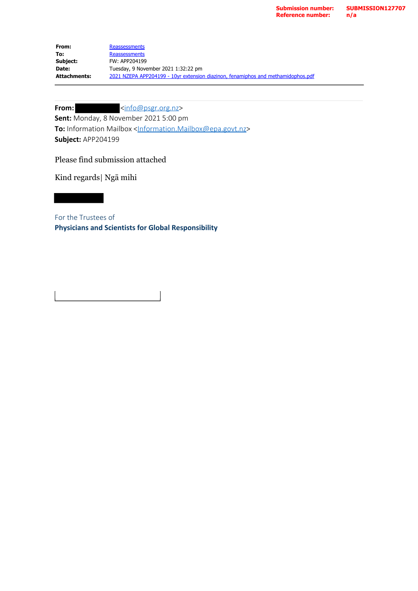| From:        | Reassessments                                                                     |
|--------------|-----------------------------------------------------------------------------------|
| To:          | Reassessments                                                                     |
| Subject:     | FW: APP204199                                                                     |
| Date:        | Tuesday, 9 November 2021 1:32:22 pm                                               |
| Attachments: | 2021 NZEPA APP204199 - 10 yr extension diazinon, fenamiphos and methamidophos.pdf |

## From:  $\frac{\sin 6 \omega_{\text{psgr.}org.nz}}{\sin 6 \omega_{\text{psgr.}org.nz}}$

**Sent:** Monday, 8 November 2021 5:00 pm **To:** Information Mailbox <[Information.Mailbox@epa.govt.nz>](mailto:Information.Mailbox@epa.govt.nz) **Subject:** APP204199

Please find submission attached

Kind regards| Ngā mihi

For the Trustees of **Physicians and Scientists for Global Responsibility**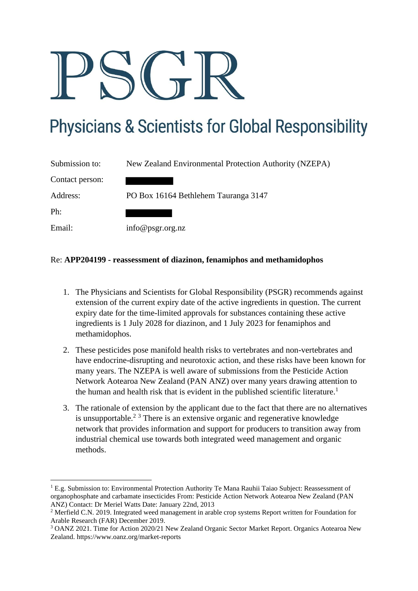## **Physicians & Scientists for Global Responsibility**

| Submission to:  | New Zealand Environmental Protection Authority (NZEPA) |
|-----------------|--------------------------------------------------------|
| Contact person: |                                                        |
| Address:        | PO Box 16164 Bethlehem Tauranga 3147                   |
| Ph:             |                                                        |
| Email:          | info@psgr.org.nz                                       |

## Re: **APP204199 - reassessment of diazinon, fenamiphos and methamidophos**

- 1. The Physicians and Scientists for Global Responsibility (PSGR) recommends against extension of the current expiry date of the active ingredients in question. The current expiry date for the time-limited approvals for substances containing these active ingredients is 1 July 2028 for diazinon, and 1 July 2023 for fenamiphos and methamidophos.
- 2. These pesticides pose manifold health risks to vertebrates and non-vertebrates and have endocrine-disrupting and neurotoxic action, and these risks have been known for many years. The NZEPA is well aware of submissions from the Pesticide Action Network Aotearoa New Zealand (PAN ANZ) over many years drawing attention to the human and health risk that is evident in the published scientific literature.<sup>1</sup>
- 3. The rationale of extension by the applicant due to the fact that there are no alternatives is unsupportable.<sup>2 3</sup> There is an extensive organic and regenerative knowledge network that provides information and support for producers to transition away from industrial chemical use towards both integrated weed management and organic methods.

<sup>&</sup>lt;sup>1</sup> E.g. Submission to: Environmental Protection Authority Te Mana Rauhii Taiao Subject: Reassessment of organophosphate and carbamate insecticides From: Pesticide Action Network Aotearoa New Zealand (PAN ANZ) Contact: Dr Meriel Watts Date: January 22nd, 2013

<sup>&</sup>lt;sup>2</sup> Merfield C.N. 2019. Integrated weed management in arable crop systems Report written for Foundation for Arable Research (FAR) December 2019.

<sup>3</sup> OANZ 2021. Time for Action 2020/21 New Zealand Organic Sector Market Report. Organics Aotearoa New Zealand. https://www.oanz.org/market-reports